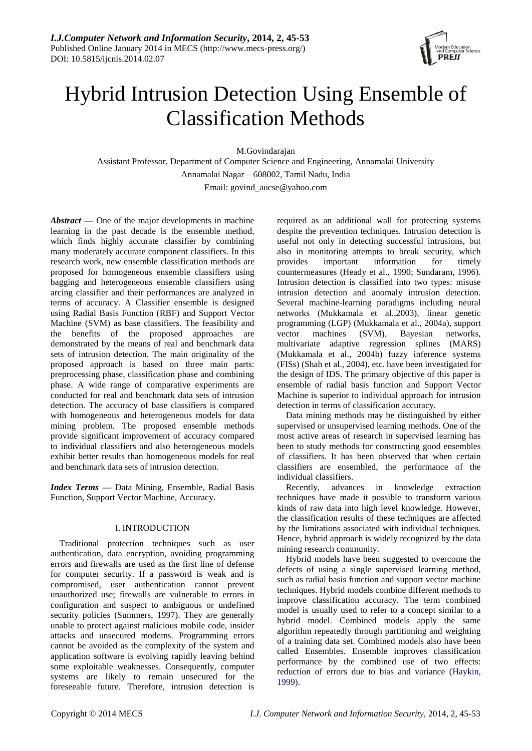

# Hybrid Intrusion Detection Using Ensemble of Classification Methods

M.Govindarajan

Assistant Professor, Department of Computer Science and Engineering, Annamalai University Annamalai Nagar – 608002, Tamil Nadu, India

Email: govind\_aucse@yahoo.com

*Abstract* **—** One of the major developments in machine learning in the past decade is the ensemble method, which finds highly accurate classifier by combining many moderately accurate component classifiers. In this research work, new ensemble classification methods are proposed for homogeneous ensemble classifiers using bagging and heterogeneous ensemble classifiers using arcing classifier and their performances are analyzed in terms of accuracy. A Classifier ensemble is designed using Radial Basis Function (RBF) and Support Vector Machine (SVM) as base classifiers. The feasibility and the benefits of the proposed approaches are demonstrated by the means of real and benchmark data sets of intrusion detection. The main originality of the proposed approach is based on three main parts: preprocessing phase, classification phase and combining phase. A wide range of comparative experiments are conducted for real and benchmark data sets of intrusion detection. The accuracy of base classifiers is compared with homogeneous and heterogeneous models for data mining problem. The proposed ensemble methods provide significant improvement of accuracy compared to individual classifiers and also heterogeneous models exhibit better results than homogeneous models for real and benchmark data sets of intrusion detection.

*Index Terms* **—** Data Mining, Ensemble, Radial Basis Function, Support Vector Machine, Accuracy.

## I. INTRODUCTION

Traditional protection techniques such as user authentication, data encryption, avoiding programming errors and firewalls are used as the first line of defense for computer security. If a password is weak and is compromised, user authentication cannot prevent unauthorized use; firewalls are vulnerable to errors in configuration and suspect to ambiguous or undefined security policies (Summers, 1997). They are generally unable to protect against malicious mobile code, insider attacks and unsecured modems. Programming errors cannot be avoided as the complexity of the system and application software is evolving rapidly leaving behind some exploitable weaknesses. Consequently, computer systems are likely to remain unsecured for the foreseeable future. Therefore, intrusion detection is

required as an additional wall for protecting systems despite the prevention techniques. Intrusion detection is useful not only in detecting successful intrusions, but also in monitoring attempts to break security, which provides important information for timely countermeasures (Heady et al., 1990; Sundaram, 1996). Intrusion detection is classified into two types: misuse intrusion detection and anomaly intrusion detection. Several machine-learning paradigms including neural networks (Mukkamala et al.,2003), linear genetic programming (LGP) (Mukkamala et al., 2004a), support vector machines (SVM), Bayesian networks, multivariate adaptive regression splines (MARS) (Mukkamala et al., 2004b) fuzzy inference systems (FISs) (Shah et al., 2004), etc. have been investigated for the design of IDS. The primary objective of this paper is ensemble of radial basis function and Support Vector Machine is superior to individual approach for intrusion detection in terms of classification accuracy.

Data mining methods may be distinguished by either supervised or unsupervised learning methods. One of the most active areas of research in supervised learning has been to study methods for constructing good ensembles of classifiers. It has been observed that when certain classifiers are ensembled, the performance of the individual classifiers.

Recently, advances in knowledge extraction techniques have made it possible to transform various kinds of raw data into high level knowledge. However, the classification results of these techniques are affected by the limitations associated with individual techniques. Hence, hybrid approach is widely recognized by the data mining research community.

Hybrid models have been suggested to overcome the defects of using a single supervised learning method, such as radial basis function and support vector machine techniques. Hybrid models combine different methods to improve classification accuracy. The term combined model is usually used to refer to a concept similar to a hybrid model. Combined models apply the same algorithm repeatedly through partitioning and weighting of a training data set. Combined models also have been called Ensembles. Ensemble improves classification performance by the combined use of two effects: reduction of errors due to bias and variance (Haykin, 1999).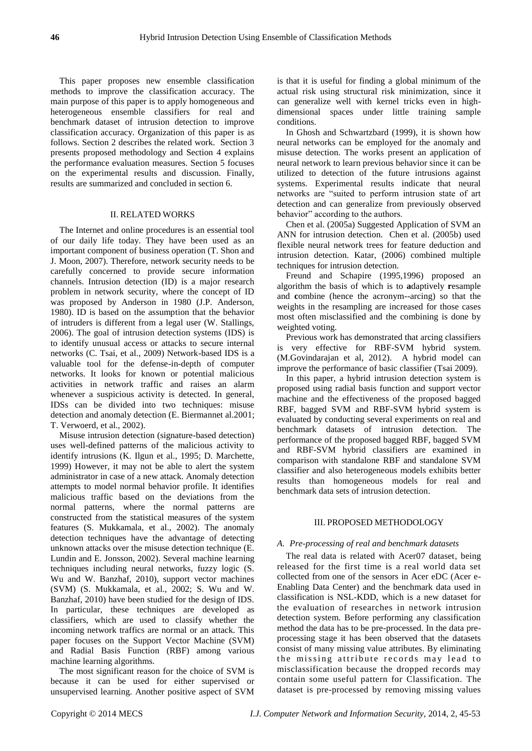This paper proposes new ensemble classification methods to improve the classification accuracy. The main purpose of this paper is to apply homogeneous and heterogeneous ensemble classifiers for real and benchmark dataset of intrusion detection to improve classification accuracy. Organization of this paper is as follows. Section 2 describes the related work. Section 3 presents proposed methodology and Section 4 explains the performance evaluation measures. Section 5 focuses on the experimental results and discussion. Finally, results are summarized and concluded in section 6.

#### II. RELATED WORKS

The Internet and online procedures is an essential tool of our daily life today. They have been used as an important component of business operation (T. Shon and J. Moon, 2007). Therefore, network security needs to be carefully concerned to provide secure information channels. Intrusion detection (ID) is a major research problem in network security, where the concept of ID was proposed by Anderson in 1980 (J.P. Anderson, 1980). ID is based on the assumption that the behavior of intruders is different from a legal user (W. Stallings, 2006). The goal of intrusion detection systems (IDS) is to identify unusual access or attacks to secure internal networks (C. Tsai, et al., 2009) Network-based IDS is a valuable tool for the defense-in-depth of computer networks. It looks for known or potential malicious activities in network traffic and raises an alarm whenever a suspicious activity is detected. In general, IDSs can be divided into two techniques: misuse detection and anomaly detection (E. Biermannet al.2001; T. Verwoerd, et al., 2002).

Misuse intrusion detection (signature-based detection) uses well-defined patterns of the malicious activity to identify intrusions (K. Ilgun et al., 1995; D. Marchette, 1999) However, it may not be able to alert the system administrator in case of a new attack. Anomaly detection attempts to model normal behavior profile. It identifies malicious traffic based on the deviations from the normal patterns, where the normal patterns are constructed from the statistical measures of the system features (S. Mukkamala, et al., 2002). The anomaly detection techniques have the advantage of detecting unknown attacks over the misuse detection technique (E. Lundin and E. Jonsson, 2002). Several machine learning techniques including neural networks, fuzzy logic (S. Wu and W. Banzhaf, 2010), support vector machines (SVM) (S. Mukkamala, et al., 2002; S. Wu and W. Banzhaf, 2010) have been studied for the design of IDS. In particular, these techniques are developed as classifiers, which are used to classify whether the incoming network traffics are normal or an attack. This paper focuses on the Support Vector Machine (SVM) and Radial Basis Function (RBF) among various machine learning algorithms.

The most significant reason for the choice of SVM is because it can be used for either supervised or unsupervised learning. Another positive aspect of SVM

is that it is useful for finding a global minimum of the actual risk using structural risk minimization, since it can generalize well with kernel tricks even in highdimensional spaces under little training sample conditions.

In Ghosh and Schwartzbard (1999), it is shown how neural networks can be employed for the anomaly and misuse detection. The works present an application of neural network to learn previous behavior since it can be utilized to detection of the future intrusions against systems. Experimental results indicate that neural networks are "suited to perform intrusion state of art detection and can generalize from previously observed behavior" according to the authors.

Chen et al. (2005a) Suggested Application of SVM an ANN for intrusion detection. Chen et al. (2005b) used flexible neural network trees for feature deduction and intrusion detection. Katar, (2006) combined multiple techniques for intrusion detection.

Freund and Schapire (1995,1996) proposed an algorithm the basis of which is to **a**daptively **r**esample and **c**ombine (hence the acronym--arcing) so that the weights in the resampling are increased for those cases most often misclassified and the combining is done by weighted voting.

Previous work has demonstrated that arcing classifiers is very effective for RBF-SVM hybrid system. (M.Govindarajan et al, 2012). A hybrid model can improve the performance of basic classifier (Tsai 2009).

In this paper, a hybrid intrusion detection system is proposed using radial basis function and support vector machine and the effectiveness of the proposed bagged RBF, bagged SVM and RBF-SVM hybrid system is evaluated by conducting several experiments on real and benchmark datasets of intrusion detection. The performance of the proposed bagged RBF, bagged SVM and RBF-SVM hybrid classifiers are examined in comparison with standalone RBF and standalone SVM classifier and also heterogeneous models exhibits better results than homogeneous models for real and benchmark data sets of intrusion detection.

## III. PROPOSED METHODOLOGY

## *A. Pre-processing of real and benchmark datasets*

The real data is related with Acer07 dataset, being released for the first time is a real world data set collected from one of the sensors in Acer eDC (Acer e-Enabling Data Center) and the benchmark data used in classification is NSL-KDD, which is a new dataset for the evaluation of researches in network intrusion detection system. Before performing any classification method the data has to be pre-processed. In the data preprocessing stage it has been observed that the datasets consist of many missing value attributes. By eliminating the missing attribute records may lead to misclassification because the dropped records may contain some useful pattern for Classification. The dataset is pre-processed by removing missing values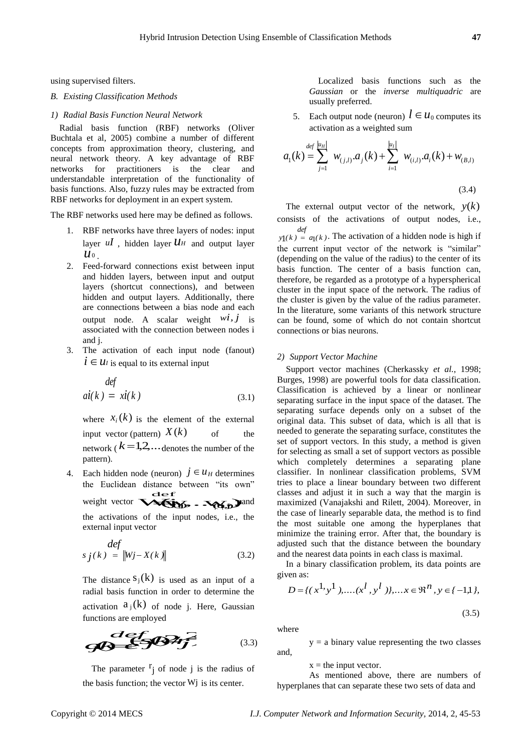using supervised filters.

## *B. Existing Classification Methods*

#### *1) Radial Basis Function Neural Network*

Radial basis function (RBF) networks (Oliver Buchtala et al, 2005) combine a number of different concepts from approximation theory, clustering, and neural network theory. A key advantage of RBF networks for practitioners is the clear and understandable interpretation of the functionality of basis functions. Also, fuzzy rules may be extracted from RBF networks for deployment in an expert system.

The RBF networks used here may be defined as follows.

- 1. RBF networks have three layers of nodes: input layer  $uI$ , hidden layer  $UH$  and output layer  $y_1(k) = a_1(k)$ . The activate  $u_0$  , materially and stap  $u_0$ .
- 2. Feed-forward connections exist between input and hidden layers, between input and output layers (shortcut connections), and between hidden and output layers. Additionally, there are connections between a bias node and each output node. A scalar weight  $Wl$ , J is associated with the connection between nodes i and j.
- 3. The activation of each input node (fanout)  $i \in U$ *I* is equal to its external input

$$
defai(k) = xi(k) \t(3.1)
$$

where  $x_i(k)$  is the element of the external input vector (pattern)  $X(k)$ of the network  $(k=1,2,...)$  denotes the number of the for selecting pattern).

4. Each hidden node (neuron)  $j \in u_H$  determines the Euclidean distance between "its own" the Euclidean distance between "its own" tries to place a linear bound<br>classes and adjust it in such<br>weight vector  $\sqrt{\sum_{i=1}^{n} y_i}$  and maximized (Vanajakshi and the activations of the input nodes, i.e., the external input vector

$$
\begin{aligned}\n\deg\\ \ns_j(k) &= \|W_j - X(k)\| \tag{3.2}\n\end{aligned}
$$

The distance  $s_j(k)$  is used as an input of a given a radial basis function in order to determine the activation  $a_j(k)$  of node j. Here, Gaussian

functions are employed  
\nwhere  
\n
$$
z = 1
$$
 where  
\n $y = a$  binary value represent  
\nand,

The parameter  $r_j$  of node j is the radius of the basis function; the vector  $Wj$  is its center.

Localized basis functions such as the *Gaussian* or the *inverse multiquadric* are usually preferred.

5. Each output node (neuron)  $l \in u_0$  computes its

activation as a weighted sum  
\n
$$
a_{i}(k) = \sum_{j=1}^{def} w_{(j,l)} a_{j}(k) + \sum_{i=1}^{|u_{l}|} w_{(i,l)} a_{i}(k) + w_{(B,l)}
$$
\n(3.4)

 $w*i*, *j*$  is can be found, some of which do not contain shortcut The external output vector of the network,  $y(k)$ consists of the activations of output nodes, i.e.,  $y_1(k) = a_1(k)$ . The activation of a hidden node is high if *def* the current input vector of the network is "similar" (depending on the value of the radius) to the center of its basis function. The center of a basis function can, therefore, be regarded as a prototype of a hyperspherical cluster in the input space of the network. The radius of the cluster is given by the value of the radius parameter. In the literature, some variants of this network structure connections or bias neurons.

#### *2) Support Vector Machine*

 $X(k)$  of the needed to generate the separating surface, constitutes the  $j \in u_H$  determines classifier. In nonlinear classification problems, SVM  $\epsilon$  classes and adjust it in such a way that the margin is<br> **Moreover, in**<br>  $\epsilon$  **Moreover, in** Support vector machines (Cherkassky *et al.*, 1998; Burges, 1998) are powerful tools for data classification. Classification is achieved by a linear or nonlinear separating surface in the input space of the dataset. The separating surface depends only on a subset of the original data. This subset of data, which is all that is set of support vectors. In this study, a method is given for selecting as small a set of support vectors as possible which completely determines a separating plane tries to place a linear boundary between two different classes and adjust it in such a way that the margin is the case of linearly separable data, the method is to find the most suitable one among the hyperplanes that minimize the training error. After that, the boundary is adjusted such that the distance between the boundary and the nearest data points in each class is maximal.

In a binary classification problem, its data points are given as:

$$
D = \{ (x^{1}, y^{1}), \dots (x^{l}, y^{l}) \}, \dots x \in \mathfrak{R}^{n}, y \in \{-1, 1\},\
$$

(3.5)

where

 $y = a$  binary value representing the two classes and,

 $x =$  the input vector.

As mentioned above, there are numbers of hyperplanes that can separate these two sets of data and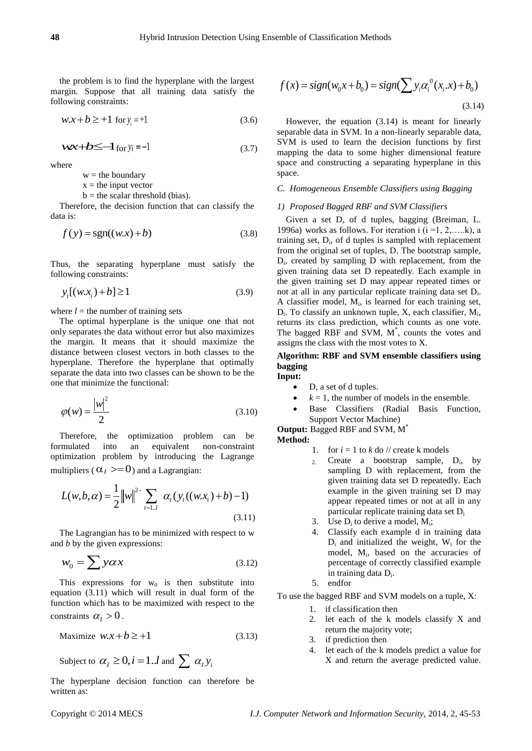the problem is to find the hyperplane with the largest margin. Suppose that all training data satisfy the following constraints:

$$
w.x + b \ge +1 \text{ for } y_i = +1
$$
 (3.6)

$$
wx + b \le -1 \text{ for } y_i = -1 \tag{3.7}
$$

where

 $w =$  the boundary

 $x =$  the input vector

 $b =$  the scalar threshold (bias).

Therefore, the decision function that can classify the data is:

$$
f(y) = sgn((w.x) + b)
$$
\n(3.8)

Thus, the separating hyperplane must satisfy the following constraints:

$$
y_i[(w.x_i) + b] \ge 1 \tag{3.9}
$$

where  $l =$  the number of training sets

The optimal hyperplane is the unique one that not only separates the data without error but also maximizes the margin. It means that it should maximize the distance between closest vectors in both classes to the hyperplane. Therefore the hyperplane that optimally separate the data into two classes can be shown to be the one that minimize the functional:

$$
\varphi(w) = \frac{|w|^2}{2} \tag{3.10}
$$

Therefore, the optimization problem can be<br>rmulated into an equivalent non-constraint formulated into an equivalent non-constraint optimization problem by introducing the Lagrange multipliers ( $\alpha_I \geq 0$ ) and a Lagrangian: sampling

$$
L(w, b, \alpha) = \frac{1}{2} ||w||^{2-} \sum_{t=1..l} \alpha_t (y_t((w.x_t) + b) - 1)
$$
\n(3.11)

The Lagrangian has to be minimized with respect to w and *b* by the given expressions:

$$
w_0 = \sum y \alpha x \tag{3.12}
$$

This expressions for  $w_0$  is then substitute into equation (3.11) which will result in dual form of the function which has to be maximized with respect to the constraints  $\alpha_I > 0$ .

$$
\text{Maximize } w.x + b \ge +1 \tag{3.13}
$$

Subject to  $\alpha_l \geq 0, i = 1..l$  and  $\sum \alpha_l y_i$ 

The hyperplane decision function can therefore be written as:

$$
f(x) = sign(w_0 x + b_0) = sign(\sum y_i \alpha_i^0(x_i.x) + b_0)
$$
\n(3.14)

 $wx + b \le -1$  for  $y_i = -1$  (3.7) SVM is used to learn the decision functions by first  $y_i = -1$  (3.7)  $\frac{3.7}{\text{mapping}}$  the data to some higher dimensional feature However, the equation (3.14) is meant for linearly separable data in SVM. In a non-linearly separable data, space and constructing a separating hyperplane in this space.

#### *C. Homogeneous Ensemble Classifiers using Bagging*

#### *1) Proposed Bagged RBF and SVM Classifiers*

Given a set D, of d tuples, bagging (Breiman, L. 1996a) works as follows. For iteration i  $(i = 1, 2, \ldots, k)$ , a training set,  $D_i$ , of  $d$  tuples is sampled with replacement from the original set of tuples, D. The bootstrap sample, Di , created by sampling D with replacement, from the given training data set D repeatedly. Each example in the given training set D may appear repeated times or not at all in any particular replicate training data set D<sub>i</sub>. A classifier model, M<sub>i</sub>, is learned for each training set,  $D_i$ . To classify an unknown tuple, X, each classifier,  $M_i$ , returns its class prediction, which counts as one vote. The bagged RBF and SVM, M\* , counts the votes and assigns the class with the most votes to X.

## **Algorithm: RBF and SVM ensemble classifiers using bagging Input:**

- D, a set of d tuples.
- $k = 1$ , the number of models in the ensemble.
- Base Classifiers (Radial Basis Function, Support Vector Machine)

**Output:** Bagged RBF and SVM, M\* **Method:**

- 1. for  $i = 1$  to  $k$  do  $\ell$  create k models
- 2. Create a bootstrap sample, D<sup>i</sup> , by sampling D with replacement, from the given training data set D repeatedly. Each example in the given training set D may appear repeated times or not at all in any particular replicate training data set D<sup>i</sup>
- 3. Use  $D_i$  to derive a model,  $M_i$ ;
- 4. Classify each example d in training data  $D_i$  and initialized the weight,  $W_i$  for the model, M<sup>i</sup> , based on the accuracies of percentage of correctly classified example in training data D<sub>i</sub>.
- 5. endfor

To use the bagged RBF and SVM models on a tuple, X:

- 1. if classification then
- 2. let each of the k models classify X and return the majority vote;
- 3. if prediction then
- 4. let each of the k models predict a value for X and return the average predicted value.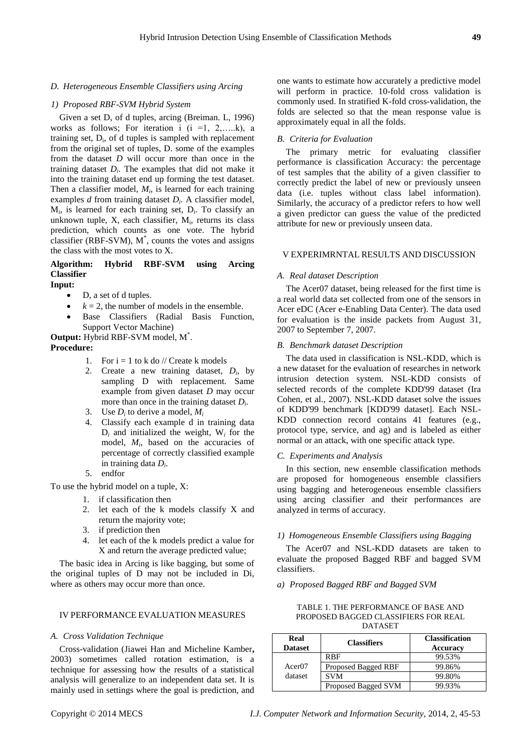## *D. Heterogeneous Ensemble Classifiers using Arcing*

#### *1) Proposed RBF-SVM Hybrid System*

Given a set D, of d tuples, arcing (Breiman. L, 1996) works as follows; For iteration i  $(i = 1, 2, \ldots, k)$ , a training set,  $D_i$ , of d tuples is sampled with replacement from the original set of tuples, D. some of the examples from the dataset *D* will occur more than once in the training dataset  $D_i$ . The examples that did not make it into the training dataset end up forming the test dataset. Then a classifier model,  $M_i$ , is learned for each training examples *d* from training dataset *D<sup>i</sup>* . A classifier model, M<sub>i</sub>, is learned for each training set, D<sub>i</sub>. To classify an unknown tuple,  $X$ , each classifier,  $M<sub>i</sub>$ , returns its class prediction, which counts as one vote. The hybrid classifier (RBF-SVM), M\* , counts the votes and assigns the class with the most votes to X.

# **Algorithm: Hybrid RBF-SVM using Arcing Classifier**

**Input:**

- D, a set of d tuples.
- $k = 2$ , the number of models in the ensemble.
- Base Classifiers (Radial Basis Function, Support Vector Machine)

**Output:** Hybrid RBF-SVM model, M\* .

## **Procedure:**

- 1. For  $i = 1$  to k do // Create k models
- 2. Create a new training dataset,  $D_i$ , by sampling D with replacement. Same example from given dataset *D* may occur more than once in the training dataset *D<sup>i</sup>* .
- 3. Use  $D_i$  to derive a model,  $M_i$
- 4. Classify each example d in training data  $D_i$  and initialized the weight,  $W_i$  for the model, *M<sup>i</sup>* , based on the accuracies of percentage of correctly classified example in training data *D<sup>i</sup>* .
- 5. endfor

To use the hybrid model on a tuple, X:

- 1. if classification then
- 2. let each of the k models classify X and return the majority vote;
- 3. if prediction then
- 4. let each of the k models predict a value for X and return the average predicted value;

The basic idea in Arcing is like bagging, but some of the original tuples of D may not be included in Di, where as others may occur more than once.

## IV PERFORMANCE EVALUATION MEASURES

#### *A. Cross Validation Technique*

Cross-validation (Jiawei Han and Micheline Kamber**,**  2003) sometimes called rotation estimation, is a technique for assessing how the results of a statistical analysis will generalize to an independent data set. It is mainly used in settings where the goal is prediction, and

one wants to estimate how accurately a predictive model will perform in practice. 10-fold cross validation is commonly used. In stratified K-fold cross-validation, the folds are selected so that the mean response value is approximately equal in all the folds.

## *B. Criteria for Evaluation*

The primary metric for evaluating classifier performance is classification Accuracy: the percentage of test samples that the ability of a given classifier to correctly predict the label of new or previously unseen data (i.e. tuples without class label information). Similarly, the accuracy of a predictor refers to how well a given predictor can guess the value of the predicted attribute for new or previously unseen data.

#### V EXPERIMRNTAL RESULTS AND DISCUSSION

#### *A. Real dataset Description*

The Acer07 dataset, being released for the first time is a real world data set collected from one of the sensors in Acer eDC (Acer e-Enabling Data Center). The data used for evaluation is the inside packets from August 31, 2007 to September 7, 2007.

## *B. Benchmark dataset Description*

The data used in classification is NSL-KDD, which is a new dataset for the evaluation of researches in network intrusion detection system. NSL-KDD consists of selected records of the complete KDD'99 dataset (Ira Cohen, et al., 2007). NSL-KDD dataset solve the issues of KDD'99 benchmark [KDD'99 dataset]. Each NSL-KDD connection record contains 41 features (e.g., protocol type, service, and ag) and is labeled as either normal or an attack, with one specific attack type.

## *C. Experiments and Analysis*

In this section, new ensemble classification methods are proposed for homogeneous ensemble classifiers using bagging and heterogeneous ensemble classifiers using arcing classifier and their performances are analyzed in terms of accuracy.

## *1) Homogeneous Ensemble Classifiers using Bagging*

The Acer07 and NSL-KDD datasets are taken to evaluate the proposed Bagged RBF and bagged SVM classifiers.

*a) Proposed Bagged RBF and Bagged SVM*

| <b>Real</b>                                   | ~- | <b>Classification</b> |  |
|-----------------------------------------------|----|-----------------------|--|
| <b>DATASET</b>                                |    |                       |  |
| PROPOSED BAGGED CLASSIFIERS FOR REAL          |    |                       |  |
| 111000 1.1110 1 0.000 0.000 0.000 1.000 0.000 |    |                       |  |

TABLE 1. THE PERFORMANCE OF BASE AND

| Real<br><b>Dataset</b> | <b>Classifiers</b>  | <b>Classification</b><br>Accuracy |
|------------------------|---------------------|-----------------------------------|
|                        | <b>RBF</b>          | 99.53%                            |
| Acer07                 | Proposed Bagged RBF | 99.86%                            |
| dataset                | SVM                 | 99.80%                            |
|                        | Proposed Bagged SVM | 99.93%                            |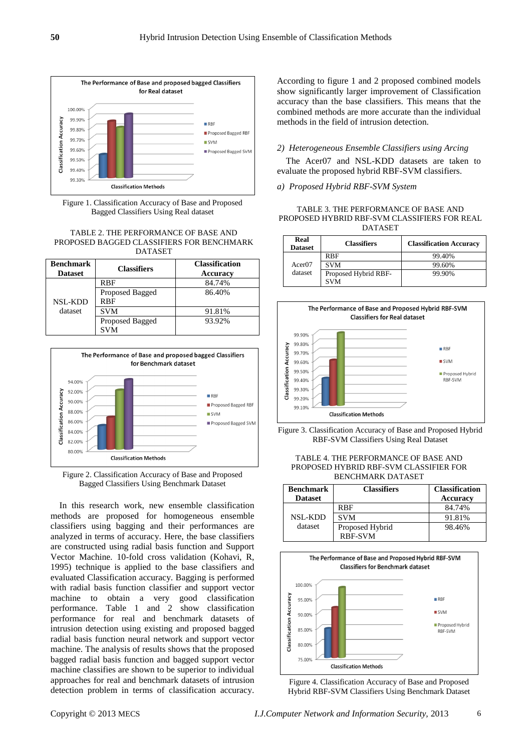

Figure 1. Classification Accuracy of Base and Proposed Bagged Classifiers Using Real dataset

#### TABLE 2. THE PERFORMANCE OF BASE AND PROPOSED BAGGED CLASSIFIERS FOR BENCHMARK DATASET

| <b>Benchmark</b><br><b>Dataset</b> | <b>Classifiers</b>            | <b>Classification</b><br>Accuracy |
|------------------------------------|-------------------------------|-----------------------------------|
|                                    | <b>RBF</b>                    | 84.74%                            |
| <b>NSL-KDD</b>                     | Proposed Bagged<br><b>RBF</b> | 86.40%                            |
| dataset                            | <b>SVM</b>                    | 91.81%                            |
|                                    | Proposed Bagged<br><b>SVM</b> | 93.92%                            |



Figure 2. Classification Accuracy of Base and Proposed Bagged Classifiers Using Benchmark Dataset

In this research work, new ensemble classification methods are proposed for homogeneous ensemble classifiers using bagging and their performances are analyzed in terms of accuracy. Here, the base classifiers are constructed using radial basis function and Support Vector Machine. 10-fold cross validation (Kohavi, R, 1995) technique is applied to the base classifiers and evaluated Classification accuracy. Bagging is performed with radial basis function classifier and support vector machine to obtain a very good classification performance. Table 1 and 2 show classification performance for real and benchmark datasets of intrusion detection using existing and proposed bagged radial basis function neural network and support vector machine. The analysis of results shows that the proposed bagged radial basis function and bagged support vector machine classifies are shown to be superior to individual approaches for real and benchmark datasets of intrusion detection problem in terms of classification accuracy.

According to figure 1 and 2 proposed combined models show significantly larger improvement of Classification accuracy than the base classifiers. This means that the combined methods are more accurate than the individual methods in the field of intrusion detection.

## *2) Heterogeneous Ensemble Classifiers using Arcing*

The Acer07 and NSL-KDD datasets are taken to evaluate the proposed hybrid RBF-SVM classifiers.

## *a) Proposed Hybrid RBF-SVM System*

TABLE 3. THE PERFORMANCE OF BASE AND PROPOSED HYBRID RBF-SVM CLASSIFIERS FOR REAL DATASET

| Real<br><b>Dataset</b>        | <b>Classifiers</b>                 | <b>Classification Accuracy</b> |
|-------------------------------|------------------------------------|--------------------------------|
| Acer <sub>07</sub><br>dataset | <b>RBF</b>                         | 99.40%                         |
|                               | <b>SVM</b>                         | 99.60%                         |
|                               | Proposed Hybrid RBF-<br><b>SVM</b> | 99.90%                         |





#### TABLE 4. THE PERFORMANCE OF BASE AND PROPOSED HYBRID RBF-SVM CLASSIFIER FOR BENCHMARK DATASET

| <b>Benchmark</b><br><b>Dataset</b> | <b>Classifiers</b> | <b>Classification</b><br><b>Accuracy</b> |
|------------------------------------|--------------------|------------------------------------------|
|                                    | <b>RBF</b>         | 84.74%                                   |
| NSL-KDD                            | <b>SVM</b>         | 91.81%                                   |
| dataset                            | Proposed Hybrid    | 98.46%                                   |
|                                    | <b>RBF-SVM</b>     |                                          |



Figure 4. Classification Accuracy of Base and Proposed Hybrid RBF-SVM Classifiers Using Benchmark Dataset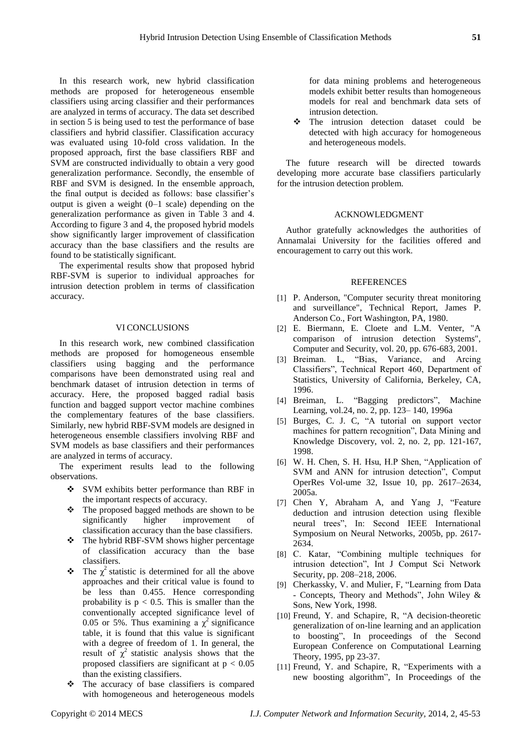In this research work, new hybrid classification methods are proposed for heterogeneous ensemble classifiers using arcing classifier and their performances are analyzed in terms of accuracy. The data set described in section 5 is being used to test the performance of base classifiers and hybrid classifier. Classification accuracy was evaluated using 10-fold cross validation. In the proposed approach, first the base classifiers RBF and SVM are constructed individually to obtain a very good generalization performance. Secondly, the ensemble of RBF and SVM is designed. In the ensemble approach, the final output is decided as follows: base classifier's output is given a weight (0–1 scale) depending on the generalization performance as given in Table 3 and 4. According to figure 3 and 4, the proposed hybrid models show significantly larger improvement of classification accuracy than the base classifiers and the results are found to be statistically significant.

The experimental results show that proposed hybrid RBF-SVM is superior to individual approaches for intrusion detection problem in terms of classification accuracy.

#### VI CONCLUSIONS

In this research work, new combined classification methods are proposed for homogeneous ensemble classifiers using bagging and the performance comparisons have been demonstrated using real and benchmark dataset of intrusion detection in terms of accuracy. Here, the proposed bagged radial basis function and bagged support vector machine combines the complementary features of the base classifiers. Similarly, new hybrid RBF-SVM models are designed in heterogeneous ensemble classifiers involving RBF and SVM models as base classifiers and their performances are analyzed in terms of accuracy.

The experiment results lead to the following observations.

- SVM exhibits better performance than RBF in the important respects of accuracy.
- \* The proposed bagged methods are shown to be significantly higher improvement of classification accuracy than the base classifiers.
- The hybrid RBF-SVM shows higher percentage of classification accuracy than the base classifiers.
- $\hat{\mathbf{r}}$  The  $\chi^2$  statistic is determined for all the above approaches and their critical value is found to be less than 0.455. Hence corresponding probability is  $p < 0.5$ . This is smaller than the conventionally accepted significance level of 0.05 or 5%. Thus examining a  $\chi^2$  significance table, it is found that this value is significant with a degree of freedom of 1. In general, the result of  $\chi^2$  statistic analysis shows that the proposed classifiers are significant at  $p < 0.05$ than the existing classifiers.
- The accuracy of base classifiers is compared with homogeneous and heterogeneous models

for data mining problems and heterogeneous models exhibit better results than homogeneous models for real and benchmark data sets of intrusion detection.

 The intrusion detection dataset could be detected with high accuracy for homogeneous and heterogeneous models.

The future research will be directed towards developing more accurate base classifiers particularly for the intrusion detection problem.

## ACKNOWLEDGMENT

Author gratefully acknowledges the authorities of Annamalai University for the facilities offered and encouragement to carry out this work.

#### **REFERENCES**

- [1] P. Anderson, "Computer security threat monitoring and surveillance", Technical Report, James P. Anderson Co., Fort Washington, PA, 1980.
- [2] E. Biermann, E. Cloete and L.M. Venter, "A comparison of intrusion detection Systems", Computer and Security, vol. 20, pp. 676-683, 2001.
- [3] Breiman. L, "Bias, Variance, and Arcing Classifiers", Technical Report 460, Department of Statistics, University of California, Berkeley, CA, 1996.
- [4] Breiman, L. "Bagging predictors", Machine Learning, vol.24, no. 2, pp. 123– 140, 1996a
- [5] Burges, C. J. C, "A tutorial on support vector machines for pattern recognition", Data Mining and Knowledge Discovery, vol. 2, no. 2, pp. 121-167, 1998.
- [6] W. H. Chen, S. H. Hsu, H.P Shen, "Application of SVM and ANN for intrusion detection", Comput OperRes Vol-ume 32, Issue 10, pp. 2617–2634, 2005a.
- [7] Chen Y, Abraham A, and Yang J, "Feature deduction and intrusion detection using flexible neural trees‖, In: Second IEEE International Symposium on Neural Networks, 2005b, pp. 2617- 2634.
- [8] C. Katar, "Combining multiple techniques for intrusion detection", Int J Comput Sci Network Security, pp. 208–218, 2006.
- [9] Cherkassky, V. and Mulier, F, "Learning from Data - Concepts, Theory and Methods", John Wiley & Sons, New York, 1998.
- [10] Freund, Y. and Schapire, R, "A decision-theoretic generalization of on-line learning and an application to boosting", In proceedings of the Second European Conference on Computational Learning Theory, 1995, pp 23-37.
- [11] Freund, Y. and Schapire, R, "Experiments with a new boosting algorithm", In Proceedings of the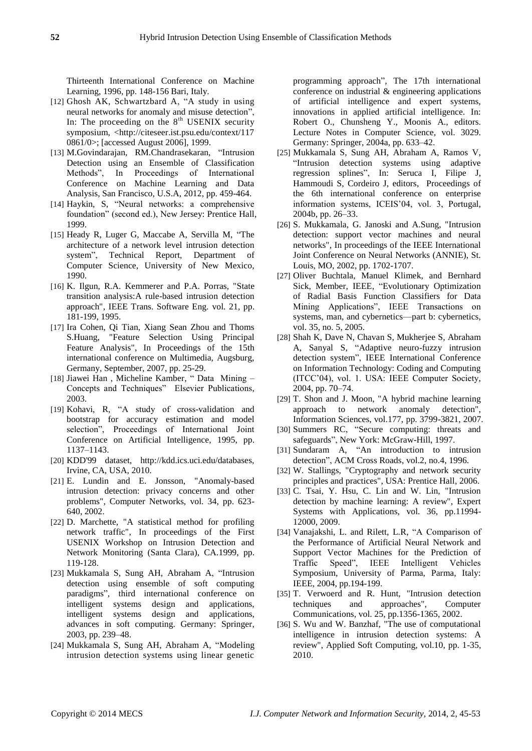Thirteenth International Conference on Machine Learning, 1996, pp. 148-156 Bari, Italy.

- [12] Ghosh AK, Schwartzbard A, "A study in using neural networks for anomaly and misuse detection", In: The proceeding on the  $8<sup>th</sup>$  USENIX security symposium, <http://citeseer.ist.psu.edu/context/117 0861/0>; [accessed August 2006], 1999.
- [13] M.Govindarajan, RM.Chandrasekaran, "Intrusion Detection using an Ensemble of Classification Methods", In Proceedings of International Conference on Machine Learning and Data Analysis, San Francisco, U.S.A, 2012, pp. 459-464.
- [14] Haykin, S, "Neural networks: a comprehensive foundation" (second ed.), New Jersey: Prentice Hall, 1999.
- [15] Heady R, Luger G, Maccabe A, Servilla M, "The architecture of a network level intrusion detection system", Technical Report, Department of Computer Science, University of New Mexico, 1990.
- [16] K. Ilgun, R.A. Kemmerer and P.A. Porras, "State transition analysis:A rule-based intrusion detection approach", IEEE Trans. Software Eng. vol. 21, pp. 181-199, 1995.
- [17] Ira Cohen, Qi Tian, Xiang Sean Zhou and Thoms S.Huang, "Feature Selection Using Principal Feature Analysis", In Proceedings of the 15th international conference on Multimedia, Augsburg, Germany, September, 2007, pp. 25-29.
- [18] Jiawei Han, Micheline Kamber, "Data Mining Concepts and Techniques" Elsevier Publications, 2003.
- [19] Kohavi, R, "A study of cross-validation and bootstrap for accuracy estimation and model selection", Proceedings of International Joint Conference on Artificial Intelligence, 1995, pp. 1137–1143.
- [20] KDD'99 dataset, http://kdd.ics.uci.edu/databases, Irvine, CA, USA, 2010.
- [21] E. Lundin and E. Jonsson, "Anomaly-based intrusion detection: privacy concerns and other problems", Computer Networks, vol. 34, pp. 623- 640, 2002.
- [22] D. Marchette, "A statistical method for profiling network traffic", In proceedings of the First USENIX Workshop on Intrusion Detection and Network Monitoring (Santa Clara), CA.1999, pp. 119-128.
- [23] Mukkamala S, Sung AH, Abraham A, "Intrusion detection using ensemble of soft computing paradigms", third international conference on intelligent systems design and applications, intelligent systems design and applications, advances in soft computing. Germany: Springer, 2003, pp. 239–48.
- [24] Mukkamala S, Sung AH, Abraham A, "Modeling intrusion detection systems using linear genetic

programming approach", The 17th international conference on industrial & engineering applications of artificial intelligence and expert systems, innovations in applied artificial intelligence. In: Robert O., Chunsheng Y., Moonis A., editors. Lecture Notes in Computer Science, vol. 3029. Germany: Springer, 2004a, pp. 633–42.

- [25] Mukkamala S, Sung AH, Abraham A, Ramos V, "Intrusion detection systems using adaptive regression splines", In: Seruca I, Filipe J, Hammoudi S, Cordeiro J, editors, Proceedings of the 6th international conference on enterprise information systems, ICEIS'04, vol. 3, Portugal, 2004b, pp. 26–33.
- [26] S. Mukkamala, G. Janoski and A.Sung, "Intrusion detection: support vector machines and neural networks", In proceedings of the IEEE International Joint Conference on Neural Networks (ANNIE), St. Louis, MO, 2002, pp. 1702-1707.
- [27] Oliver Buchtala, Manuel Klimek, and Bernhard Sick, Member, IEEE, "Evolutionary Optimization of Radial Basis Function Classifiers for Data Mining Applications", IEEE Transactions on systems, man, and cybernetics—part b: cybernetics, vol. 35, no. 5, 2005.
- [28] Shah K, Dave N, Chavan S, Mukherjee S, Abraham A, Sanyal S, "Adaptive neuro-fuzzy intrusion detection system", IEEE International Conference on Information Technology: Coding and Computing (ITCC'04), vol. 1. USA: IEEE Computer Society, 2004, pp. 70–74.
- [29] T. Shon and J. Moon, "A hybrid machine learning approach to network anomaly detection", Information Sciences, vol.177, pp. 3799-3821, 2007.
- [30] Summers RC, "Secure computing: threats and safeguards", New York: McGraw-Hill, 1997.
- [31] Sundaram A, "An introduction to intrusion detection", ACM Cross Roads, vol.2, no.4, 1996.
- [32] W. Stallings, "Cryptography and network security principles and practices", USA: Prentice Hall, 2006.
- [33] C. Tsai, Y. Hsu, C. Lin and W. Lin, "Intrusion detection by machine learning: A review", Expert Systems with Applications, vol. 36, pp.11994- 12000, 2009.
- [34] Vanajakshi, L. and Rilett, L.R, "A Comparison of the Performance of Artificial Neural Network and Support Vector Machines for the Prediction of Traffic Speed", IEEE Intelligent Vehicles Symposium, University of Parma, Parma, Italy: IEEE, 2004, pp.194-199.
- [35] T. Verwoerd and R. Hunt, "Intrusion detection techniques and approaches", Computer Communications, vol. 25, pp.1356-1365, 2002.
- [36] S. Wu and W. Banzhaf, "The use of computational intelligence in intrusion detection systems: A review", Applied Soft Computing, vol.10, pp. 1-35, 2010.